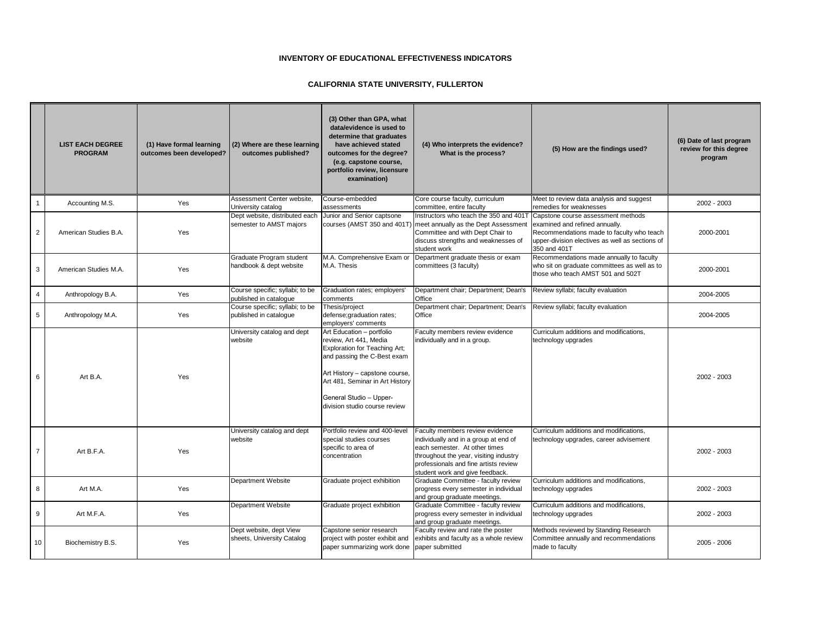|                | <b>LIST EACH DEGREE</b><br><b>PROGRAM</b> | (1) Have formal learning<br>outcomes been developed? | (2) Where are these learning<br>outcomes published?       | (3) Other than GPA, what<br>data/evidence is used to<br>determine that graduates<br>have achieved stated<br>outcomes for the degree?<br>(e.g. capstone course,<br>portfolio review, licensure<br>examination)                                               | (4) Who interprets the evidence?<br>What is the process?                                                                                                                                                                        | (5) How are the findings used?                                                                                                                                                                                              | (6) Date of last program<br>review for this degree<br>program |
|----------------|-------------------------------------------|------------------------------------------------------|-----------------------------------------------------------|-------------------------------------------------------------------------------------------------------------------------------------------------------------------------------------------------------------------------------------------------------------|---------------------------------------------------------------------------------------------------------------------------------------------------------------------------------------------------------------------------------|-----------------------------------------------------------------------------------------------------------------------------------------------------------------------------------------------------------------------------|---------------------------------------------------------------|
|                | Accounting M.S.                           | Yes                                                  | Assessment Center website,<br>University catalog          | Course-embedded<br>assessments                                                                                                                                                                                                                              | Core course faculty, curriculum<br>committee, entire faculty                                                                                                                                                                    | Meet to review data analysis and suggest<br>remedies for weaknesses                                                                                                                                                         | 2002 - 2003                                                   |
| $\overline{2}$ | American Studies B.A.                     | Yes                                                  | Dept website, distributed each<br>semester to AMST majors | Junior and Senior captsone<br>courses (AMST 350 and 401T)                                                                                                                                                                                                   | meet annually as the Dept Assessment<br>Committee and with Dept Chair to<br>discuss strengths and weaknesses of<br>student work                                                                                                 | Instructors who teach the 350 and 401T Capstone course assessment methods<br>examined and refined annually.<br>Recommendations made to faculty who teach<br>upper-division electives as well as sections of<br>350 and 401T | 2000-2001                                                     |
| 3              | American Studies M.A.                     | Yes                                                  | Graduate Program student<br>handbook & dept website       | M.A. Comprehensive Exam or<br>M.A. Thesis                                                                                                                                                                                                                   | Department graduate thesis or exam<br>committees (3 faculty)                                                                                                                                                                    | Recommendations made annually to faculty<br>who sit on graduate committees as well as to<br>those who teach AMST 501 and 502T                                                                                               | 2000-2001                                                     |
| 4              | Anthropology B.A.                         | Yes                                                  | Course specific; syllabi; to be<br>published in catalogue | Graduation rates; employers'<br>comments                                                                                                                                                                                                                    | Department chair; Department; Dean's<br>Office                                                                                                                                                                                  | Review syllabi; faculty evaluation                                                                                                                                                                                          | 2004-2005                                                     |
| 5 <sub>5</sub> | Anthropology M.A.                         | Yes                                                  | Course specific; syllabi; to be<br>published in catalogue | Thesis/project<br>defense; graduation rates;<br>employers' comments                                                                                                                                                                                         | Department chair; Department; Dean's<br>Office                                                                                                                                                                                  | Review syllabi; faculty evaluation                                                                                                                                                                                          | 2004-2005                                                     |
| 6              | Art B.A.                                  | Yes                                                  | University catalog and dept<br>website                    | Art Education - portfolio<br>review, Art 441, Media<br><b>Exploration for Teaching Art;</b><br>and passing the C-Best exam<br>Art History – capstone course,<br>Art 481, Seminar in Art History<br>General Studio - Upper-<br>division studio course review | Faculty members review evidence<br>individually and in a group.                                                                                                                                                                 | Curriculum additions and modifications,<br>technology upgrades                                                                                                                                                              | 2002 - 2003                                                   |
| 7              | Art B.F.A.                                | Yes                                                  | University catalog and dept<br>website                    | Portfolio review and 400-level<br>special studies courses<br>specific to area of<br>concentration                                                                                                                                                           | Faculty members review evidence<br>individually and in a group at end of<br>each semester. At other times<br>throughout the year, visiting industry<br>professionals and fine artists review<br>student work and give feedback. | Curriculum additions and modifications,<br>technology upgrades, career advisement                                                                                                                                           | 2002 - 2003                                                   |
| 8              | Art M.A.                                  | Yes                                                  | Department Website                                        | Graduate project exhibition                                                                                                                                                                                                                                 | Graduate Committee - faculty review<br>progress every semester in individual<br>and group graduate meetings.                                                                                                                    | Curriculum additions and modifications,<br>technology upgrades                                                                                                                                                              | 2002 - 2003                                                   |
| 9              | Art M.F.A.                                | Yes                                                  | Department Website                                        | Graduate project exhibition                                                                                                                                                                                                                                 | Graduate Committee - faculty review<br>progress every semester in individual<br>and group graduate meetings.                                                                                                                    | Curriculum additions and modifications,<br>technology upgrades                                                                                                                                                              | 2002 - 2003                                                   |
| 10             | Biochemistry B.S.                         | Yes                                                  | Dept website, dept View<br>sheets, University Catalog     | Capstone senior research<br>project with poster exhibit and<br>paper summarizing work done                                                                                                                                                                  | Faculty review and rate the poster<br>exhibits and faculty as a whole review<br>paper submitted                                                                                                                                 | Methods reviewed by Standing Research<br>Committee annually and recommendations<br>made to faculty                                                                                                                          | 2005 - 2006                                                   |

## **INVENTORY OF EDUCATIONAL EFFECTIVENESS INDICATORS**

## **CALIFORNIA STATE UNIVERSITY, FULLERTON**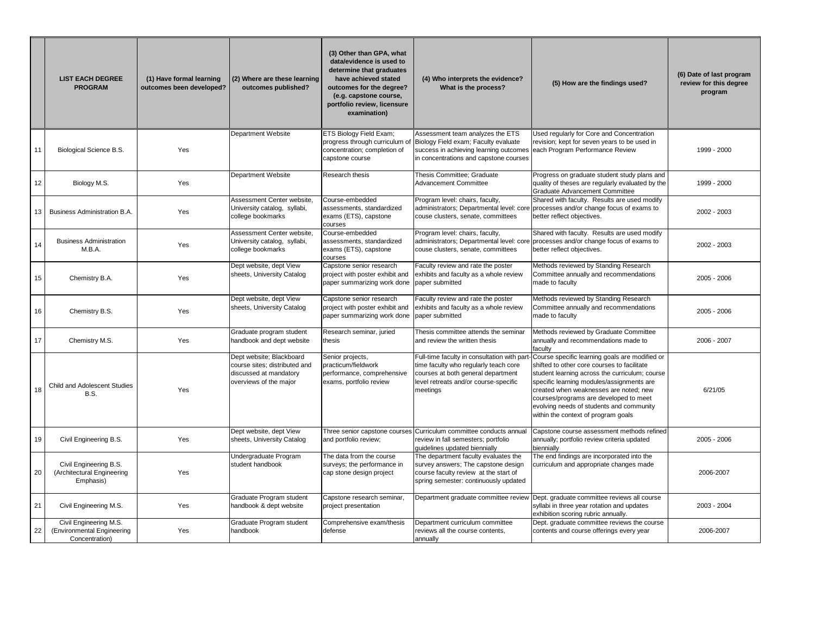|    | <b>LIST EACH DEGREE</b><br><b>PROGRAM</b>                              | (1) Have formal learning<br>outcomes been developed? | (2) Where are these learning<br>outcomes published?                                                           | (3) Other than GPA, what<br>data/evidence is used to<br>determine that graduates<br>have achieved stated<br>outcomes for the degree?<br>(e.g. capstone course,<br>portfolio review, licensure<br>examination) | (4) Who interprets the evidence?<br>What is the process?                                                                                                                        | (5) How are the findings used?                                                                                                                                                                                                                                                                                                                                      | (6) Date of last program<br>review for this degree<br>program |
|----|------------------------------------------------------------------------|------------------------------------------------------|---------------------------------------------------------------------------------------------------------------|---------------------------------------------------------------------------------------------------------------------------------------------------------------------------------------------------------------|---------------------------------------------------------------------------------------------------------------------------------------------------------------------------------|---------------------------------------------------------------------------------------------------------------------------------------------------------------------------------------------------------------------------------------------------------------------------------------------------------------------------------------------------------------------|---------------------------------------------------------------|
| 11 | <b>Biological Science B.S.</b>                                         | Yes                                                  | <b>Department Website</b>                                                                                     | <b>ETS Biology Field Exam;</b><br>progress through curriculum of<br>concentration; completion of<br>capstone course                                                                                           | Assessment team analyzes the ETS<br>Biology Field exam; Faculty evaluate<br>success in achieving learning outcomes<br>in concentrations and capstone courses                    | Used regularly for Core and Concentration<br>revision; kept for seven years to be used in<br>each Program Performance Review                                                                                                                                                                                                                                        | 1999 - 2000                                                   |
| 12 | Biology M.S.                                                           | Yes                                                  | <b>Department Website</b>                                                                                     | <b>Research thesis</b>                                                                                                                                                                                        | Thesis Committee; Graduate<br>Advancement Committee                                                                                                                             | Progress on graduate student study plans and<br>quality of theses are regularly evaluated by the<br><b>Graduate Advancement Committee</b>                                                                                                                                                                                                                           | 1999 - 2000                                                   |
| 13 | <b>Business Administration B.A.</b>                                    | Yes                                                  | Assessment Center website,<br>University catalog, syllabi,<br>college bookmarks                               | Course-embedded<br>assessments, standardized<br>exams (ETS), capstone<br>courses                                                                                                                              | Program level: chairs, faculty,<br>couse clusters, senate, committees                                                                                                           | Shared with faculty. Results are used modify<br>administrators; Departmental level: core processes and/or change focus of exams to<br>better reflect objectives.                                                                                                                                                                                                    | 2002 - 2003                                                   |
| 14 | <b>Business Administration</b><br>M.B.A.                               | Yes                                                  | Assessment Center website,<br>University catalog, syllabi,<br>college bookmarks                               | Course-embedded<br>assessments, standardized<br>exams (ETS), capstone<br><b>Courses</b>                                                                                                                       | Program level: chairs, faculty,<br>couse clusters, senate, committees                                                                                                           | Shared with faculty. Results are used modify<br>administrators; Departmental level: core processes and/or change focus of exams to<br>better reflect objectives.                                                                                                                                                                                                    | 2002 - 2003                                                   |
| 15 | Chemistry B.A.                                                         | Yes                                                  | Dept website, dept View<br>sheets, University Catalog                                                         | Capstone senior research<br>project with poster exhibit and<br>paper summarizing work done                                                                                                                    | Faculty review and rate the poster<br>exhibits and faculty as a whole review<br>paper submitted                                                                                 | Methods reviewed by Standing Research<br>Committee annually and recommendations<br>made to faculty                                                                                                                                                                                                                                                                  | 2005 - 2006                                                   |
| 16 | Chemistry B.S.                                                         | Yes                                                  | Dept website, dept View<br>sheets, University Catalog                                                         | Capstone senior research<br>project with poster exhibit and<br>paper summarizing work done                                                                                                                    | Faculty review and rate the poster<br>exhibits and faculty as a whole review<br>paper submitted                                                                                 | Methods reviewed by Standing Research<br>Committee annually and recommendations<br>made to faculty                                                                                                                                                                                                                                                                  | 2005 - 2006                                                   |
| 17 | Chemistry M.S.                                                         | Yes                                                  | Graduate program student<br>handbook and dept website                                                         | Research seminar, juried<br>thesis                                                                                                                                                                            | Thesis committee attends the seminar<br>and review the written thesis                                                                                                           | Methods reviewed by Graduate Committee<br>annually and recommendations made to<br>faculty                                                                                                                                                                                                                                                                           | 2006 - 2007                                                   |
| 18 | <b>Child and Adolescent Studies</b><br>B.S.                            | Yes                                                  | Dept website; Blackboard<br>course sites; distributed and<br>discussed at mandatory<br>overviews of the major | Senior projects,<br>practicum/fieldwork<br>performance, comprehensive<br>exams, portfolio review                                                                                                              | Full-time faculty in consultation with part<br>time faculty who regularly teach core<br>courses at both general department<br>level retreats and/or course-specific<br>meetings | Course specific learning goals are modified or<br>shifted to other core courses to facilitate<br>student learning across the curriculum; course<br>specific learning modules/assignments are<br>created when weaknesses are noted; new<br>courses/programs are developed to meet<br>evolving needs of students and community<br>within the context of program goals | 6/21/05                                                       |
| 19 | Civil Engineering B.S.                                                 | Yes                                                  | Dept website, dept View<br>sheets, University Catalog                                                         | and portfolio review;                                                                                                                                                                                         | Three senior capstone courses Curriculum committee conducts annual<br>review in fall semesters; portfolio<br>guidelines updated biennially                                      | Capstone course assessment methods refined<br>annually; portfolio review criteria updated<br>biennially                                                                                                                                                                                                                                                             | 2005 - 2006                                                   |
| 20 | Civil Engineering B.S.<br>(Architectural Engineering<br>Emphasis)      | Yes                                                  | Undergraduate Program<br>student handbook                                                                     | The data from the course<br>surveys; the performance in<br>cap stone design project                                                                                                                           | The department faculty evaluates the<br>survey answers; The capstone design<br>course faculty review at the start of<br>spring semester: continuously updated                   | The end findings are incorporated into the<br>curriculum and appropriate changes made                                                                                                                                                                                                                                                                               | 2006-2007                                                     |
| 21 | Civil Engineering M.S.                                                 | Yes                                                  | Graduate Program student<br>handbook & dept website                                                           | Capstone research seminar,<br>project presentation                                                                                                                                                            | Department graduate committee review                                                                                                                                            | Dept. graduate committee reviews all course<br>syllabi in three year rotation and updates<br>exhibition scoring rubric annually.                                                                                                                                                                                                                                    | 2003 - 2004                                                   |
| 22 | Civil Engineering M.S.<br>(Environmental Engineering<br>Concentration) | Yes                                                  | Graduate Program student<br>handbook                                                                          | Comprehensive exam/thesis<br>defense                                                                                                                                                                          | Department curriculum committee<br>reviews all the course contents,<br>annually                                                                                                 | Dept. graduate committee reviews the course<br>contents and course offerings every year                                                                                                                                                                                                                                                                             | 2006-2007                                                     |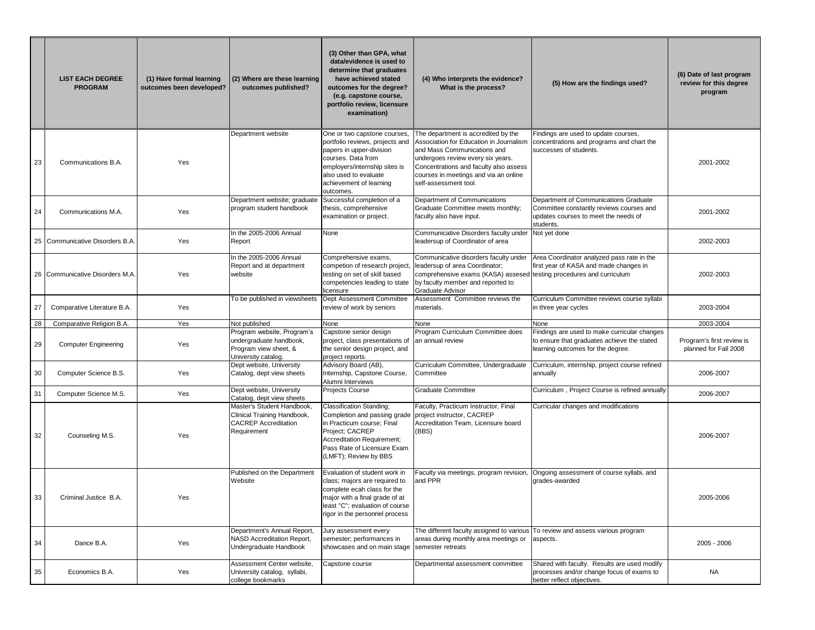|    | <b>LIST EACH DEGREE</b><br><b>PROGRAM</b> | (1) Have formal learning<br>outcomes been developed? | (2) Where are these learning<br>outcomes published?                                                     | (3) Other than GPA, what<br>data/evidence is used to<br>determine that graduates<br>have achieved stated<br>outcomes for the degree?<br>(e.g. capstone course,<br>portfolio review, licensure<br>examination)       | (4) Who interprets the evidence?<br>What is the process?                                                                                                                                                                                                       | (5) How are the findings used?                                                                                                         | (6) Date of last program<br>review for this degree<br>program |
|----|-------------------------------------------|------------------------------------------------------|---------------------------------------------------------------------------------------------------------|---------------------------------------------------------------------------------------------------------------------------------------------------------------------------------------------------------------------|----------------------------------------------------------------------------------------------------------------------------------------------------------------------------------------------------------------------------------------------------------------|----------------------------------------------------------------------------------------------------------------------------------------|---------------------------------------------------------------|
| 23 | Communications B.A.                       | Yes                                                  | Department website                                                                                      | One or two capstone courses,<br>portfolio reviews, projects and<br>papers in upper-division<br>courses. Data from<br>employers/internship sites is<br>also used to evaluate<br>achievement of learning<br>outcomes. | The department is accredited by the<br>Association for Education in Journalism<br>and Mass Communications and<br>undergoes review every six years.<br>Concentrations and faculty also assess<br>courses in meetings and via an online<br>self-assessment tool. | Findings are used to update courses,<br>concentrations and programs and chart the<br>successes of students.                            | 2001-2002                                                     |
| 24 | Communications M.A.                       | Yes                                                  | Department website; graduate<br>program student handbook                                                | Successful completion of a<br>thesis, comprehensive<br>examination or project.                                                                                                                                      | Department of Communications<br>Graduate Committee meets monthly;<br>faculty also have input.                                                                                                                                                                  | Department of Communications Graduate<br>Committee constantly reviews courses and<br>updates courses to meet the needs of<br>students. | 2001-2002                                                     |
|    | 25 Communicative Disorders B.A.           | Yes                                                  | In the 2005-2006 Annual<br>Report                                                                       | None                                                                                                                                                                                                                | Communicative Disorders faculty under<br>leadersup of Coordinator of area                                                                                                                                                                                      | Not yet done                                                                                                                           | 2002-2003                                                     |
|    | 26 Communicative Disorders M.A.           | Yes                                                  | In the 2005-2006 Annual<br>Report and at department<br>website                                          | Comprehensive exams,<br>competion of research project<br>testing on set of skill based<br>competencies leading to state<br>licensure                                                                                | Communicative disorders faculty under<br>leadersup of area Coordinator;<br>comprehensive exams (KASA) assesed testing procedures and curriculum<br>by faculty member and reported to<br><b>Graduate Advisor</b>                                                | Area Coordinator analyzed pass rate in the<br>first year of KASA and made changes in                                                   | 2002-2003                                                     |
| 27 | Comparative Literature B.A.               | Yes                                                  | To be published in viewsheets                                                                           | <b>Dept Assessment Committee</b><br>review of work by seniors                                                                                                                                                       | Assessment Committee reviews the<br>materials.                                                                                                                                                                                                                 | Curriculum Committee reviews course syllabi<br>in three year cycles                                                                    | 2003-2004                                                     |
| 28 | Comparative Religion B.A.                 | Yes                                                  | Not published                                                                                           | None                                                                                                                                                                                                                | None                                                                                                                                                                                                                                                           | None                                                                                                                                   | 2003-2004                                                     |
| 29 | <b>Computer Engineering</b>               | Yes                                                  | Program website, Program's<br>undergraduate handbook,<br>Program view sheet, &<br>University catalog.   | Capstone senior design<br>project, class presentations of<br>the senior design project, and<br>project reports.                                                                                                     | Program Curriculum Committee does<br>an annual review                                                                                                                                                                                                          | Findings are used to make curricular changes<br>to ensure that graduates achieve the stated<br>learning outcomes for the degree.       | Program's first review is<br>planned for Fall 2008            |
| 30 | Computer Science B.S.                     | Yes                                                  | Dept website, University<br>Catalog, dept view sheets                                                   | Advisory Board (AB),<br>Internship, Capstone Course,<br>Alumni Interviews                                                                                                                                           | Curriculum Committee, Undergraduate<br>Committee                                                                                                                                                                                                               | Curriculum, internship, project course refined<br>annually                                                                             | 2006-2007                                                     |
| 31 | Computer Science M.S.                     | Yes                                                  | Dept website, University<br>Catalog, dept view sheets                                                   | Projects Course                                                                                                                                                                                                     | <b>Graduate Committee</b>                                                                                                                                                                                                                                      | Curriculum, Project Course is refined annually                                                                                         | 2006-2007                                                     |
| 32 | Counseling M.S.                           | Yes                                                  | Master's Student Handbook.<br>Clinical Training Handbook,<br><b>CACREP</b> Accreditation<br>Requirement | <b>Classification Standing;</b><br>Completion and passing grade<br>in Practicum course; Final<br>Project; CACREP<br>Accreditation Requirement;<br>Pass Rate of Licensure Exam<br>(LMFT); Review by BBS              | Faculty, Practicum Instructor, Final<br>project instructor, CACREP<br>Accreditation Team, Licensure board<br>(BBS)                                                                                                                                             | Curricular changes and modifications                                                                                                   | 2006-2007                                                     |
| 33 | Criminal Justice B.A.                     | Yes                                                  | Published on the Department<br>Website                                                                  | Evaluation of student work in<br>class; majors are required to<br>complete ecah class for the<br>major with a final grade of at<br>least "C"; evaluation of course<br>rigor in the personnel process                | Faculty via meetings, program revision,<br>and PPR                                                                                                                                                                                                             | Ongoing assessment of course syllabi, and<br>grades-awarded                                                                            | 2005-2006                                                     |
| 34 | Dance B.A.                                | Yes                                                  | Department's Annual Report,<br><b>NASD Accreditation Report,</b><br>Undergraduate Handbook              | Jury assessment every<br>semester; performances in<br>showcases and on main stage                                                                                                                                   | The different faculty assigned to various<br>areas during monthly area meetings or<br>semester retreats                                                                                                                                                        | To review and assess various program<br>aspects.                                                                                       | 2005 - 2006                                                   |
| 35 | Economics B.A.                            | Yes                                                  | Assessment Center website,<br>University catalog, syllabi,<br>college bookmarks                         | Capstone course                                                                                                                                                                                                     | Departmental assessment committee                                                                                                                                                                                                                              | Shared with faculty. Results are used modify<br>processes and/or change focus of exams to<br>better reflect objectives.                | <b>NA</b>                                                     |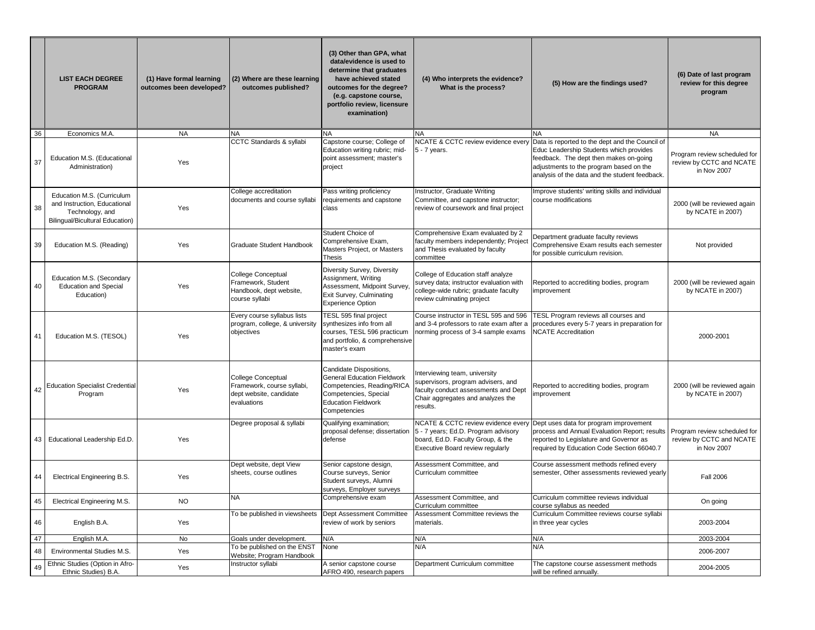|     | <b>LIST EACH DEGREE</b><br><b>PROGRAM</b>                                                                               | (1) Have formal learning<br>outcomes been developed? | (2) Where are these learning<br>outcomes published?                                                   | (3) Other than GPA, what<br>data/evidence is used to<br>determine that graduates<br>have achieved stated<br>outcomes for the degree?<br>(e.g. capstone course,<br>portfolio review, licensure<br>examination) | (4) Who interprets the evidence?<br>What is the process?                                                                                                     | (5) How are the findings used?                                                                                                                                                                                                    | (6) Date of last program<br>review for this degree<br>program           |
|-----|-------------------------------------------------------------------------------------------------------------------------|------------------------------------------------------|-------------------------------------------------------------------------------------------------------|---------------------------------------------------------------------------------------------------------------------------------------------------------------------------------------------------------------|--------------------------------------------------------------------------------------------------------------------------------------------------------------|-----------------------------------------------------------------------------------------------------------------------------------------------------------------------------------------------------------------------------------|-------------------------------------------------------------------------|
| 36  | Economics M.A.                                                                                                          | <b>NA</b>                                            | <b>NA</b>                                                                                             | <b>NA</b>                                                                                                                                                                                                     |                                                                                                                                                              |                                                                                                                                                                                                                                   | <b>NA</b>                                                               |
| 37  | Education M.S. (Educational<br>Administration)                                                                          | Yes                                                  | CCTC Standards & syllabi                                                                              | Capstone course; College of<br>Education writing rubric; mid-<br>point assessment; master's<br>project                                                                                                        | NCATE & CCTC review evidence every<br>5 - 7 years.                                                                                                           | Data is reported to the dept and the Council of<br>Educ Leadership Students which provides<br>feedback. The dept then makes on-going<br>adjustments to the program based on the<br>analysis of the data and the student feedback. | Program review scheduled for<br>review by CCTC and NCATE<br>in Nov 2007 |
| -38 | Education M.S. (Curriculum<br>and Instruction, Educational<br>Technology, and<br><b>Bilingual/Bicultural Education)</b> | Yes                                                  | College accreditation<br>documents and course syllabi                                                 | Pass writing proficiency<br>requirements and capstone<br>Iclass                                                                                                                                               | Instructor, Graduate Writing<br>Committee, and capstone instructor;<br>review of coursework and final project                                                | Improve students' writing skills and individual<br>course modifications                                                                                                                                                           | 2000 (will be reviewed again<br>by NCATE in 2007)                       |
| 39  | Education M.S. (Reading)                                                                                                | Yes                                                  | <b>Graduate Student Handbook</b>                                                                      | Student Choice of<br>Comprehensive Exam,<br>Masters Project, or Masters<br><b>Thesis</b>                                                                                                                      | Comprehensive Exam evaluated by 2<br>faculty members independently; Project<br>and Thesis evaluated by faculty<br>committee                                  | Department graduate faculty reviews<br>Comprehensive Exam results each semester<br>for possible curriculum revision.                                                                                                              | Not provided                                                            |
| 40  | Education M.S. (Secondary<br><b>Education and Special</b><br>Education)                                                 | Yes                                                  | College Conceptual<br>Framework, Student<br>Handbook, dept website,<br>course syllabi                 | Diversity Survey, Diversity<br>Assignment, Writing<br>Assessment, Midpoint Survey,<br>Exit Survey, Culminating<br><b>Experience Option</b>                                                                    | College of Education staff analyze<br>survey data; instructor evaluation with<br>college-wide rubric; graduate faculty<br>review culminating project         | Reported to accrediting bodies, program<br>improvement                                                                                                                                                                            | 2000 (will be reviewed again<br>by NCATE in 2007)                       |
| 41  | Education M.S. (TESOL)                                                                                                  | Yes                                                  | Every course syllabus lists<br>program, college, & university synthesizes info from all<br>objectives | <b>TESL 595 final project</b><br>courses, TESL 596 practicum<br>and portfolio, & comprehensive<br>master's exam                                                                                               | Course instructor in TESL 595 and 596   TESL Program reviews all courses and<br>norming process of 3-4 sample exams   NCATE Accreditation                    | and 3-4 professors to rate exam after a procedures every 5-7 years in preparation for                                                                                                                                             | 2000-2001                                                               |
| 42  | <b>Education Specialist Credential</b><br>Program                                                                       | Yes                                                  | <b>College Conceptual</b><br>Framework, course syllabi,<br>dept website, candidate<br>evaluations     | Candidate Dispositions,<br><b>General Education Fieldwork</b><br>Competencies, Reading/RICA<br>Competencies, Special<br><b>Education Fieldwork</b><br>Competencies                                            | Interviewing team, university<br>supervisors, program advisers, and<br>faculty conduct assessments and Dept<br>Chair aggregates and analyzes the<br>results. | Reported to accrediting bodies, program<br>improvement                                                                                                                                                                            | 2000 (will be reviewed again<br>by NCATE in 2007)                       |
| 43  | Educational Leadership Ed.D.                                                                                            | Yes                                                  | Degree proposal & syllabi                                                                             | Qualifying examination;<br>proposal defense; dissertation<br>defense                                                                                                                                          | NCATE & CCTC review evidence every<br>5 - 7 years; Ed.D. Program advisory<br>board, Ed.D. Faculty Group, & the<br><b>Executive Board review regularly</b>    | Dept uses data for program improvement<br>process and Annual Evaluation Report; results<br>reported to Legislature and Governor as<br>required by Education Code Section 66040.7                                                  | Program review scheduled for<br>review by CCTC and NCATE<br>in Nov 2007 |
| 44  | <b>Electrical Engineering B.S.</b>                                                                                      | Yes                                                  | Dept website, dept View<br>sheets, course outlines                                                    | Senior capstone design,<br>Course surveys, Senior<br>Student surveys, Alumni<br>surveys, Employer surveys                                                                                                     | Assessment Committee, and<br>Curriculum committee                                                                                                            | Course assessment methods refined every<br>semester, Other assessments reviewed yearly                                                                                                                                            | <b>Fall 2006</b>                                                        |
| 45  | <b>Electrical Engineering M.S.</b>                                                                                      | <b>NO</b>                                            | NA                                                                                                    | Comprehensive exam                                                                                                                                                                                            | Assessment Committee, and<br>Curriculum committee                                                                                                            | Curriculum committee reviews individual<br>course syllabus as needed                                                                                                                                                              | On going                                                                |
| 46  | English B.A.                                                                                                            | Yes                                                  | To be published in viewsheets                                                                         | Dept Assessment Committee<br>review of work by seniors                                                                                                                                                        | Assessment Committee reviews the<br>materials.                                                                                                               | Curriculum Committee reviews course syllabi<br>in three year cycles                                                                                                                                                               | 2003-2004                                                               |
| 47  | English M.A.                                                                                                            | No                                                   | Goals under development.                                                                              | N/A                                                                                                                                                                                                           | N/A                                                                                                                                                          | N/A                                                                                                                                                                                                                               | 2003-2004                                                               |
| 48  | <b>Environmental Studies M.S.</b>                                                                                       | Yes                                                  | To be published on the ENST<br>Website; Program Handbook                                              | None                                                                                                                                                                                                          | N/A                                                                                                                                                          | N/A                                                                                                                                                                                                                               | 2006-2007                                                               |
| 49  | Ethnic Studies (Option in Afro-<br>Ethnic Studies) B.A.                                                                 | Yes                                                  | Instructor syllabi                                                                                    | A senior capstone course<br>AFRO 490, research papers                                                                                                                                                         | Department Curriculum committee                                                                                                                              | The capstone course assessment methods<br>will be refined annually.                                                                                                                                                               | 2004-2005                                                               |
|     |                                                                                                                         |                                                      |                                                                                                       |                                                                                                                                                                                                               |                                                                                                                                                              |                                                                                                                                                                                                                                   |                                                                         |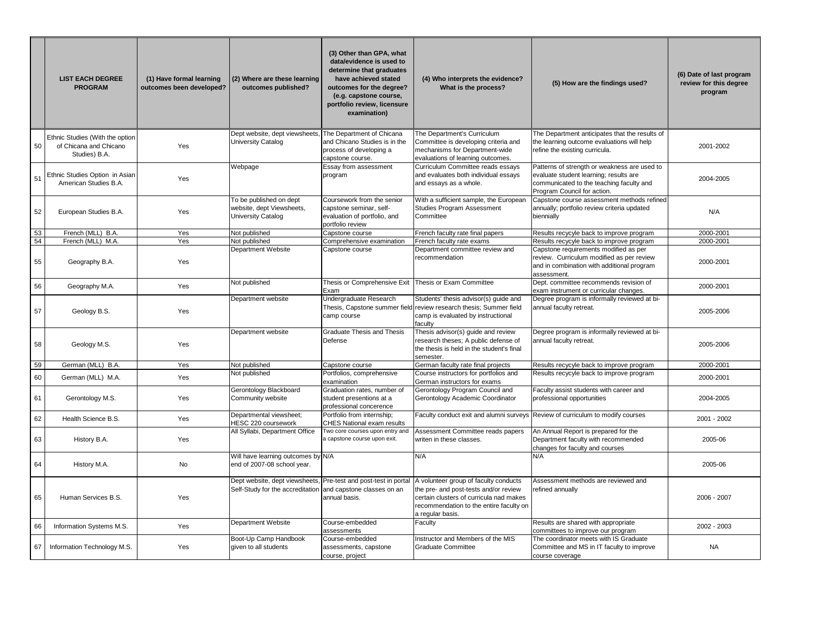|    | <b>LIST EACH DEGREE</b><br><b>PROGRAM</b>                                  | (1) Have formal learning<br>outcomes been developed? | (2) Where are these learning<br>outcomes published?                                                                            | (3) Other than GPA, what<br>data/evidence is used to<br>determine that graduates<br>have achieved stated<br>outcomes for the degree?<br>(e.g. capstone course,<br>portfolio review, licensure<br>examination) | (4) Who interprets the evidence?<br>What is the process?                                                                                                                                 | (5) How are the findings used?                                                                                                                                    | (6) Date of last program<br>review for this degree<br>program |
|----|----------------------------------------------------------------------------|------------------------------------------------------|--------------------------------------------------------------------------------------------------------------------------------|---------------------------------------------------------------------------------------------------------------------------------------------------------------------------------------------------------------|------------------------------------------------------------------------------------------------------------------------------------------------------------------------------------------|-------------------------------------------------------------------------------------------------------------------------------------------------------------------|---------------------------------------------------------------|
| 50 | Ethnic Studies (With the option<br>of Chicana and Chicano<br>Studies) B.A. | Yes                                                  | Dept website, dept viewsheets,<br><b>University Catalog</b>                                                                    | The Department of Chicana<br>and Chicano Studies is in the<br>process of developing a<br>capstone course.                                                                                                     | The Department's Curriculum<br>Committee is developing criteria and<br>mechanisms for Department-wide<br>evaluations of learning outcomes.                                               | The Department anticipates that the results of<br>the learning outcome evaluations will help<br>refine the existing curricula.                                    | 2001-2002                                                     |
| 51 | Ethnic Studies Option in Asian<br>American Studies B.A.                    | Yes                                                  | Webpage                                                                                                                        | Essay from assessment<br>program                                                                                                                                                                              | Curriculum Committee reads essays<br>and evaluates both individual essays<br>and essays as a whole.                                                                                      | Patterns of strength or weakness are used to<br>evaluate student learning; results are<br>communicated to the teaching faculty and<br>Program Council for action. | 2004-2005                                                     |
| 52 | European Studies B.A.                                                      | Yes                                                  | To be published on dept<br>website, dept Viewsheets,<br>University Catalog                                                     | Coursework from the senior<br>capstone seminar, self-<br>evaluation of portfolio, and<br>portfolio review                                                                                                     | With a sufficient sample, the European<br>Studies Program Assessment<br>Committee                                                                                                        | Capstone course assessment methods refined<br>annually; portfolio review criteria updated<br>biennially                                                           | N/A                                                           |
| 53 | French (MLL) B.A.                                                          | Yes                                                  | Not published                                                                                                                  | Capstone course                                                                                                                                                                                               | French faculty rate final papers                                                                                                                                                         | Results recycyle back to improve program                                                                                                                          | 2000-2001                                                     |
| 54 | French (MLL) M.A.                                                          | Yes                                                  | Not published                                                                                                                  | Comprehensive examination                                                                                                                                                                                     | French faculty rate exams                                                                                                                                                                | Results recycyle back to improve program                                                                                                                          | 2000-2001                                                     |
| 55 | Geography B.A.                                                             | Yes                                                  | Department Website                                                                                                             | Capstone course                                                                                                                                                                                               | Department committee review and<br>recommendation                                                                                                                                        | Capstone requirements modified as per<br>review. Curriculum modified as per review<br>and in combination with additional program<br>assessment.                   | 2000-2001                                                     |
| 56 | Geography M.A.                                                             | Yes                                                  | Not published                                                                                                                  | Thesis or Comprehensive Exit   Thesis or Exam Committee<br>Exam                                                                                                                                               |                                                                                                                                                                                          | Dept. committee recommends revision of<br>exam instrument or curricular changes.                                                                                  | 2000-2001                                                     |
| 57 | Geology B.S.                                                               | Yes                                                  | Department website                                                                                                             | Undergraduate Research<br>camp course                                                                                                                                                                         | Students' thesis advisor(s) guide and<br>Thesis, Capstone summer field review research thesis; Summer field<br>camp is evaluated by instructional<br>faculty                             | Degree program is informally reviewed at bi-<br>annual faculty retreat.                                                                                           | 2005-2006                                                     |
| 58 | Geology M.S.                                                               | Yes                                                  | Department website                                                                                                             | <b>Graduate Thesis and Thesis</b><br>Defense                                                                                                                                                                  | Thesis advisor(s) guide and review<br>research theses; A public defense of<br>the thesis is held in the student's final<br>semester.                                                     | Degree program is informally reviewed at bi-<br>annual faculty retreat.                                                                                           | 2005-2006                                                     |
| 59 | German (MLL) B.A.                                                          | Yes                                                  | Not published                                                                                                                  | Capstone course                                                                                                                                                                                               | German faculty rate final projects                                                                                                                                                       | Results recycyle back to improve program                                                                                                                          | 2000-2001                                                     |
| 60 | German (MLL) M.A.                                                          | Yes                                                  | Not published                                                                                                                  | Portfolios, comprehensive<br>examination                                                                                                                                                                      | Course instructors for portfolios and<br>German instructors for exams                                                                                                                    | Results recycyle back to improve program                                                                                                                          | 2000-2001                                                     |
| 61 | Gerontology M.S.                                                           | Yes                                                  | Gerontology Blackboard<br>Community website                                                                                    | Graduation rates, number of<br>student presentions at a<br>professional concerence                                                                                                                            | Gerontology Program Council and<br>Gerontology Academic Coordinator                                                                                                                      | Faculty assist students with career and<br>professional opportunities                                                                                             | 2004-2005                                                     |
| 62 | Health Science B.S.                                                        | Yes                                                  | Departmental viewsheet;<br>HESC 220 coursework                                                                                 | Portfolio from internship;<br><b>CHES National exam results</b>                                                                                                                                               | Faculty conduct exit and alumni surveys Review of curriculum to modify courses                                                                                                           |                                                                                                                                                                   | 2001 - 2002                                                   |
| 63 | History B.A.                                                               | Yes                                                  | All Syllabi, Department Office                                                                                                 | Two core courses upon entry and<br>a capstone course upon exit.                                                                                                                                               | Assessment Committee reads papers<br>writen in these classes.                                                                                                                            | An Annual Report is prepared for the<br>Department faculty with recommended<br>changes for faculty and courses                                                    | 2005-06                                                       |
| 64 | History M.A.                                                               | No                                                   | Will have learning outcomes by N/A<br>end of 2007-08 school year.                                                              |                                                                                                                                                                                                               | N/A                                                                                                                                                                                      | N/A                                                                                                                                                               | 2005-06                                                       |
| 65 | Human Services B.S.                                                        | Yes                                                  | Dept website, dept viewsheets, Pre-test and post-test in portal<br>Self-Study for the accreditation and capstone classes on an | annual basis.                                                                                                                                                                                                 | A volunteer group of faculty conducts<br>the pre- and post-tests and/or review<br>certain clusters of curricula nad makes<br>recommendation to the entire faculty on<br>a regular basis. | Assessment methods are reviewed and<br>refined annually                                                                                                           | 2006 - 2007                                                   |
| 66 | Information Systems M.S.                                                   | Yes                                                  | Department Website                                                                                                             | Course-embedded<br>assessments                                                                                                                                                                                | Faculty                                                                                                                                                                                  | Results are shared with appropriate<br>committees to improve our program                                                                                          | 2002 - 2003                                                   |
| 67 | Information Technology M.S.                                                | Yes                                                  | Boot-Up Camp Handbook<br>given to all students                                                                                 | Course-embedded<br>assessments, capstone<br>course, project                                                                                                                                                   | Instructor and Members of the MIS<br>Graduate Committee                                                                                                                                  | The coordinator meets with IS Graduate<br>Committee and MS in IT faculty to improve<br>course coverage                                                            | <b>NA</b>                                                     |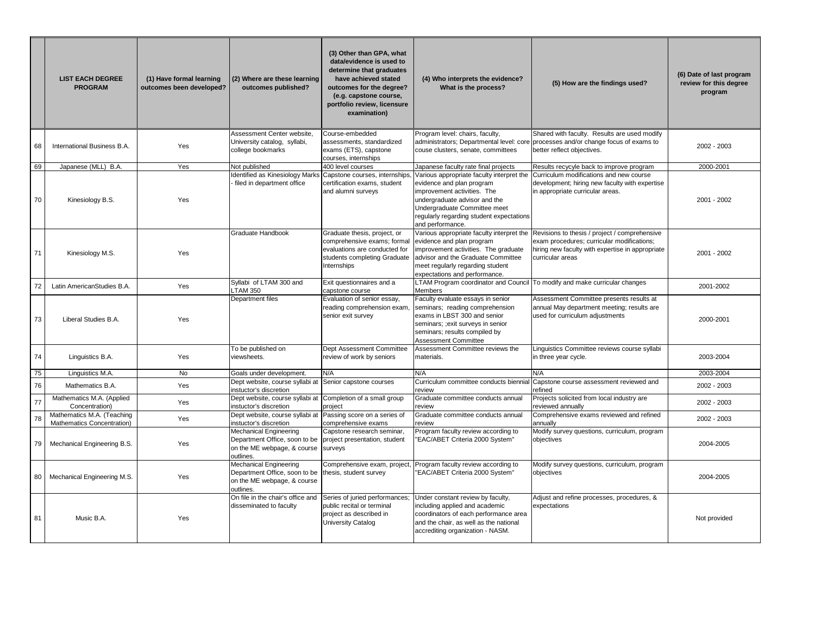|    | <b>LIST EACH DEGREE</b><br><b>PROGRAM</b>                | (1) Have formal learning<br>outcomes been developed? | (2) Where are these learning<br>outcomes published?                                                                                      | (3) Other than GPA, what<br>data/evidence is used to<br>determine that graduates<br>have achieved stated<br>outcomes for the degree?<br>(e.g. capstone course,<br>portfolio review, licensure<br>examination) | (4) Who interprets the evidence?<br>What is the process?                                                                                                                                                                               | (5) How are the findings used?                                                                                                                                      | (6) Date of last program<br>review for this degree<br>program |
|----|----------------------------------------------------------|------------------------------------------------------|------------------------------------------------------------------------------------------------------------------------------------------|---------------------------------------------------------------------------------------------------------------------------------------------------------------------------------------------------------------|----------------------------------------------------------------------------------------------------------------------------------------------------------------------------------------------------------------------------------------|---------------------------------------------------------------------------------------------------------------------------------------------------------------------|---------------------------------------------------------------|
|    |                                                          |                                                      | Assessment Center website.                                                                                                               | Course-embedded                                                                                                                                                                                               | Program level: chairs, faculty,                                                                                                                                                                                                        | Shared with faculty. Results are used modify                                                                                                                        |                                                               |
| 68 | International Business B.A.                              | Yes                                                  | University catalog, syllabi,<br>college bookmarks                                                                                        | assessments, standardized<br>exams (ETS), capstone<br>courses, internships                                                                                                                                    | couse clusters, senate, committees                                                                                                                                                                                                     | administrators; Departmental level: core processes and/or change focus of exams to<br>better reflect objectives.                                                    | 2002 - 2003                                                   |
| 69 | Japanese (MLL) B.A.                                      | Yes                                                  | Not published                                                                                                                            | 400 level courses                                                                                                                                                                                             | Japanese faculty rate final projects                                                                                                                                                                                                   | Results recycyle back to improve program                                                                                                                            | 2000-2001                                                     |
| 70 | Kinesiology B.S.                                         | Yes                                                  | filed in department office                                                                                                               | Identified as Kinesiology Marks Capstone courses, internships,<br>certification exams, student<br>and alumni surveys                                                                                          | Various appropriate faculty interpret the<br>evidence and plan program<br>improvement activities. The<br>undergraduate advisor and the<br>Undergraduate Committee meet<br>regularly regarding student expectations<br>and performance. | Curriculum modifications and new course<br>development; hiring new faculty with expertise<br>in appropriate curricular areas.                                       | 2001 - 2002                                                   |
| 71 | Kinesiology M.S.                                         | Yes                                                  | <b>Graduate Handbook</b>                                                                                                                 | Graduate thesis, project, or<br>comprehensive exams; formal<br>evaluations are conducted for<br>students completing Graduate<br>Internships                                                                   | Various appropriate faculty interpret the<br>evidence and plan program<br>improvement activities. The graduate<br>advisor and the Graduate Committee<br>meet regularly regarding student<br>expectations and performance.              | Revisions to thesis / project / comprehensive<br>exam procedures; curricular modifications;<br>hiring new faculty with expertise in appropriate<br>curricular areas | 2001 - 2002                                                   |
| 72 | Latin AmericanStudies B.A.                               | Yes                                                  | Syllabi of LTAM 300 and<br><b>LTAM 350</b>                                                                                               | Exit questionnaires and a<br>capstone course                                                                                                                                                                  | <b>LTAM Program coordinator and Council</b><br><b>Members</b>                                                                                                                                                                          | To modify and make curricular changes                                                                                                                               | 2001-2002                                                     |
| 73 | Liberal Studies B.A.                                     | Yes                                                  | Department files                                                                                                                         | Evaluation of senior essay,<br>reading comprehension exam,<br>senior exit survey                                                                                                                              | Faculty evaluate essays in senior<br>seminars; reading comprehension<br>exams in LBST 300 and senior<br>seminars; ; exit surveys in senior<br>seminars; results compiled by<br><b>Assessment Committee</b>                             | Assessment Committee presents results at<br>annual May department meeting; results are<br>used for curriculum adjustments                                           | 2000-2001                                                     |
| 74 | Linguistics B.A.                                         | Yes                                                  | To be published on<br>viewsheets.                                                                                                        | Dept Assessment Committee<br>review of work by seniors                                                                                                                                                        | Assessment Committee reviews the<br>materials.                                                                                                                                                                                         | Linguistics Committee reviews course syllabi<br>in three year cycle.                                                                                                | 2003-2004                                                     |
| 75 | Linguistics M.A.                                         | No                                                   | Goals under development.                                                                                                                 | N/A                                                                                                                                                                                                           | N/A                                                                                                                                                                                                                                    | N/A                                                                                                                                                                 | 2003-2004                                                     |
| 76 | Mathematics B.A.                                         | Yes                                                  | Dept website, course syllabi at Senior capstone courses<br>instuctor's discretion                                                        |                                                                                                                                                                                                               | Curriculum committee conducts biennial<br>review                                                                                                                                                                                       | Capstone course assessment reviewed and<br>refined                                                                                                                  | 2002 - 2003                                                   |
| 77 | Mathematics M.A. (Applied<br>Concentration)              | Yes                                                  | Dept website, course syllabi at Completion of a small group<br>instuctor's discretion                                                    | project                                                                                                                                                                                                       | Graduate committee conducts annual<br>review                                                                                                                                                                                           | Projects solicited from local industry are<br>reviewed annually                                                                                                     | 2002 - 2003                                                   |
| 78 | Mathematics M.A. (Teaching<br>Mathematics Concentration) | Yes                                                  | Dept website, course syllabi at Passing score on a series of<br>instuctor's discretion                                                   | comprehensive exams                                                                                                                                                                                           | Graduate committee conducts annual<br>review                                                                                                                                                                                           | Comprehensive exams reviewed and refined<br>annually                                                                                                                | 2002 - 2003                                                   |
| 79 | Mechanical Engineering B.S.                              | Yes                                                  | <b>Mechanical Engineering</b><br>Department Office, soon to be project presentation, student<br>on the ME webpage, & course<br>outlines. | Capstone research seminar,<br>surveys                                                                                                                                                                         | Program faculty review according to<br>"EAC/ABET Criteria 2000 System"                                                                                                                                                                 | Modify survey questions, curriculum, program<br>objectives                                                                                                          | 2004-2005                                                     |
| 80 | Mechanical Engineering M.S.                              | Yes                                                  | Mechanical Engineering<br>Department Office, soon to be   thesis, student survey<br>on the ME webpage, & course<br>outlines.             | Comprehensive exam, project,                                                                                                                                                                                  | Program faculty review according to<br>"EAC/ABET Criteria 2000 System"                                                                                                                                                                 | Modify survey questions, curriculum, program<br>objectives                                                                                                          | 2004-2005                                                     |
| 81 | Music B.A.                                               | Yes                                                  | On file in the chair's office and<br>disseminated to faculty                                                                             | Series of juried performances;<br>public recital or terminal<br>project as described in<br>University Catalog                                                                                                 | Under constant review by faculty,<br>including applied and academic<br>coordinators of each performance area<br>and the chair, as well as the national<br>accrediting organization - NASM.                                             | Adjust and refine processes, procedures, &<br>expectations                                                                                                          | Not provided                                                  |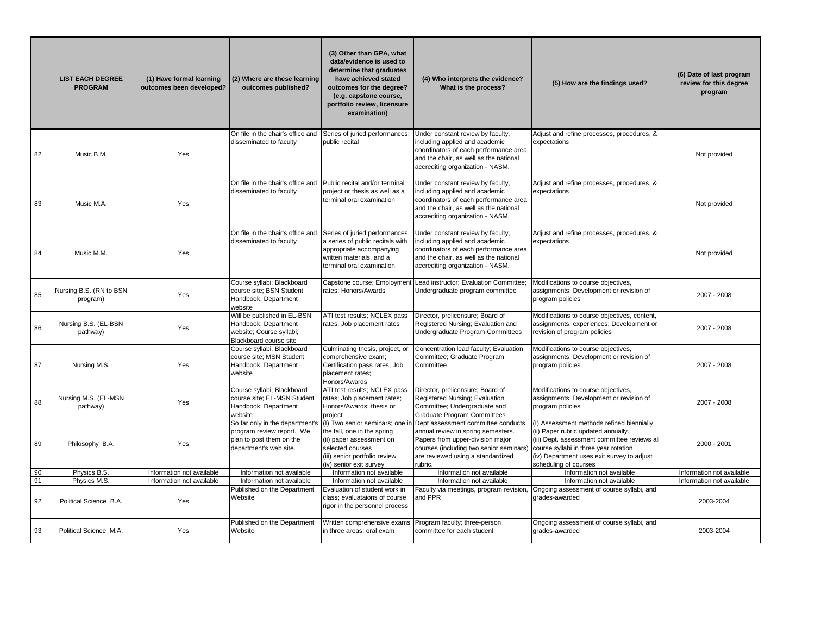|          | <b>LIST EACH DEGREE</b><br><b>PROGRAM</b> | (1) Have formal learning<br>outcomes been developed? | (2) Where are these learning<br>outcomes published?                                                                | (3) Other than GPA, what<br>data/evidence is used to<br>determine that graduates<br>have achieved stated<br>outcomes for the degree?<br>(e.g. capstone course,<br>portfolio review, licensure<br>examination) | (4) Who interprets the evidence?<br>What is the process?                                                                                                                                                | (5) How are the findings used?                                                                                                                                                                                                                   | (6) Date of last program<br>review for this degree<br>program |
|----------|-------------------------------------------|------------------------------------------------------|--------------------------------------------------------------------------------------------------------------------|---------------------------------------------------------------------------------------------------------------------------------------------------------------------------------------------------------------|---------------------------------------------------------------------------------------------------------------------------------------------------------------------------------------------------------|--------------------------------------------------------------------------------------------------------------------------------------------------------------------------------------------------------------------------------------------------|---------------------------------------------------------------|
| 82       | Music B.M.                                | Yes                                                  | On file in the chair's office and<br>disseminated to faculty                                                       | Series of juried performances;<br>public recital                                                                                                                                                              | Under constant review by faculty,<br>including applied and academic<br>coordinators of each performance area<br>and the chair, as well as the national<br>accrediting organization - NASM.              | Adjust and refine processes, procedures, &<br>expectations                                                                                                                                                                                       | Not provided                                                  |
| 83       | Music M.A.                                | Yes                                                  | On file in the chair's office and<br>disseminated to faculty                                                       | Public recital and/or terminal<br>project or thesis as well as a<br>terminal oral examination                                                                                                                 | Under constant review by faculty,<br>including applied and academic<br>coordinators of each performance area<br>and the chair, as well as the national<br>accrediting organization - NASM.              | Adjust and refine processes, procedures, &<br>expectations                                                                                                                                                                                       | Not provided                                                  |
| 84       | Music M.M.                                | Yes                                                  | On file in the chair's office and<br>disseminated to faculty                                                       | Series of juried performances,<br>a series of public recitals with<br>appropriate accompanying<br>written materials, and a<br>terminal oral examination                                                       | Under constant review by faculty,<br>including applied and academic<br>coordinators of each performance area<br>and the chair, as well as the national<br>accrediting organization - NASM.              | Adjust and refine processes, procedures, &<br>expectations                                                                                                                                                                                       | Not provided                                                  |
| 85       | Nursing B.S. (RN to BSN<br>program)       | Yes                                                  | Course syllabi; Blackboard<br>course site; BSN Student<br>Handbook; Department<br>website                          | Capstone course; Employment<br>rates; Honors/Awards                                                                                                                                                           | Lead instructor; Evaluation Committee;<br>Undergraduate program committee                                                                                                                               | Modifications to course objectives,<br>assignments; Development or revision of<br>program policies                                                                                                                                               | 2007 - 2008                                                   |
| 86       | Nursing B.S. (EL-BSN<br>pathway)          | Yes                                                  | Will be published in EL-BSN<br>Handbook; Department<br>website; Course syllabi;<br>Blackboard course site          | ATI test results; NCLEX pass<br>rates; Job placement rates                                                                                                                                                    | Director, prelicensure; Board of<br>Registered Nursing; Evaluation and<br>Undergraduate Program Committees                                                                                              | Modifications to course objectives, content,<br>assignments, experiences; Development or<br>revision of program policies                                                                                                                         | 2007 - 2008                                                   |
| 87       | Nursing M.S.                              | Yes                                                  | Course syllabi; Blackboard<br>course site; MSN Student<br>Handbook; Department<br>website                          | Culminating thesis, project, or<br>comprehensive exam;<br>Certification pass rates; Job<br>placement rates;<br>Honors/Awards                                                                                  | Concentration lead faculty; Evaluation<br>Committee; Graduate Program<br>Committee                                                                                                                      | Modifications to course objectives,<br>assignments; Development or revision of<br>program policies                                                                                                                                               | 2007 - 2008                                                   |
| 88       | Nursing M.S. (EL-MSN<br>pathway)          | Yes                                                  | Course syllabi; Blackboard<br>course site; EL-MSN Student<br>Handbook; Department<br>website                       | ATI test results; NCLEX pass<br>rates; Job placement rates;<br>Honors/Awards; thesis or<br>project                                                                                                            | Director, prelicensure; Board of<br>Registered Nursing; Evaluation<br>Committee; Undergraduate and<br><b>Graduate Program Committees</b>                                                                | Modifications to course objectives,<br>assignments; Development or revision of<br>program policies                                                                                                                                               | 2007 - 2008                                                   |
| 89       | Philosophy B.A.                           | Yes                                                  | So far only in the department's<br>program review report. We<br>plan to post them on the<br>department's web site. | (I) Two senior seminars; one in<br>the fall, one in the spring<br>(ii) paper assessment on<br>selected courses<br>(iii) senior portfolio review<br>(iv) senior exit survey                                    | Dept assessment committee conducts<br>annual review in spring semesters.<br>Papers from upper-division major<br>courses (including two senior seminars)<br>are reviewed using a standardized<br>rubric. | (I) Assessment methods refined biennially<br>(ii) Paper rubric updated annually.<br>(iii) Dept. assessment committee reviews all<br>course syllabi in three year rotation<br>(iv) Department uses exit survey to adjust<br>scheduling of courses | 2000 - 2001                                                   |
| 90       | Physics B.S.                              | Information not available                            | Information not available                                                                                          | Information not available                                                                                                                                                                                     | Information not available                                                                                                                                                                               | Information not available                                                                                                                                                                                                                        | Information not available                                     |
| 91<br>92 | Physics M.S.<br>Political Science B.A.    | Information not available<br>Yes                     | Information not available<br>Published on the Department<br>Website                                                | Information not available<br>Evaluation of student work in<br>class; evaluataions of course<br>rigor in the personnel process                                                                                 | Information not available<br>Faculty via meetings, program revision,<br>and PPR                                                                                                                         | Information not available<br>Ongoing assessment of course syllabi, and<br>grades-awarded                                                                                                                                                         | Information not available<br>2003-2004                        |
| 93       | Political Science M.A.                    | Yes                                                  | Published on the Department<br>Website                                                                             | Written comprehensive exams<br>in three areas; oral exam                                                                                                                                                      | Program faculty; three-person<br>committee for each student                                                                                                                                             | Ongoing assessment of course syllabi, and<br>grades-awarded                                                                                                                                                                                      | 2003-2004                                                     |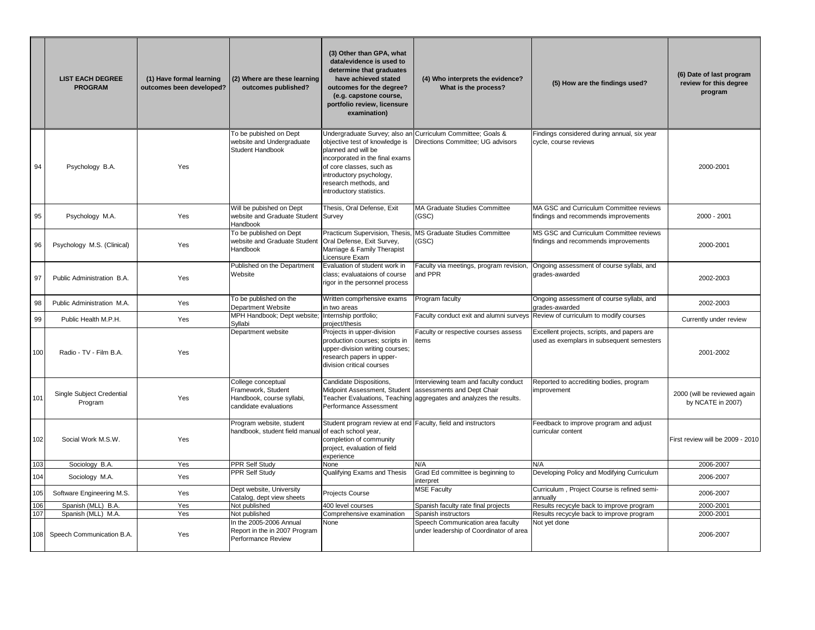|     | <b>LIST EACH DEGREE</b><br><b>PROGRAM</b>           | (1) Have formal learning<br>outcomes been developed? | (2) Where are these learning<br>outcomes published?                                            | (3) Other than GPA, what<br>data/evidence is used to<br>determine that graduates<br>have achieved stated<br>outcomes for the degree?<br>(e.g. capstone course,<br>portfolio review, licensure<br>examination) | (4) Who interprets the evidence?<br>What is the process?                                                                                  | (5) How are the findings used?                                                           | (6) Date of last program<br>review for this degree<br>program |
|-----|-----------------------------------------------------|------------------------------------------------------|------------------------------------------------------------------------------------------------|---------------------------------------------------------------------------------------------------------------------------------------------------------------------------------------------------------------|-------------------------------------------------------------------------------------------------------------------------------------------|------------------------------------------------------------------------------------------|---------------------------------------------------------------|
| 94  | Psychology B.A.                                     | Yes                                                  | To be pubished on Dept<br>website and Undergraduate<br>Student Handbook                        | objective test of knowledge is<br>planned and will be<br>incorporated in the final exams<br>of core classes, such as<br>introductory psychology,<br>research methods, and<br>introductory statistics.         | Undergraduate Survey; also an Curriculum Committee; Goals &<br>Directions Committee; UG advisors                                          | Findings considered during annual, six year<br>cycle, course reviews                     | 2000-2001                                                     |
| 95  | Psychology M.A.                                     | Yes                                                  | Will be pubished on Dept<br>website and Graduate Student Survey<br>Handbook                    | Thesis, Oral Defense, Exit                                                                                                                                                                                    | <b>MA Graduate Studies Committee</b><br>(GSC)                                                                                             | MA GSC and Curriculum Committee reviews<br>findings and recommends improvements          | 2000 - 2001                                                   |
| 96  | Psychology M.S. (Clinical)                          | Yes                                                  | To be published on Dept<br>website and Graduate Student<br><b>Handbook</b>                     | Practicum Supervision, Thesis,<br>Oral Defense, Exit Survey,<br>Marriage & Family Therapist<br>Licensure Exam                                                                                                 | MS Graduate Studies Committee<br>(GSC)                                                                                                    | MS GSC and Curriculum Committee reviews<br>findings and recommends improvements          | 2000-2001                                                     |
| 97  | Public Administration B.A.                          | Yes                                                  | Published on the Department<br>Website                                                         | Evaluation of student work in<br>class; evaluataions of course<br>rigor in the personnel process                                                                                                              | Faculty via meetings, program revision,<br>and PPR                                                                                        | Ongoing assessment of course syllabi, and<br>grades-awarded                              | 2002-2003                                                     |
| 98  | Public Administration M.A.                          | Yes                                                  | To be published on the<br><b>Department Website</b>                                            | Written comprhensive exams<br>in two areas                                                                                                                                                                    | Program faculty                                                                                                                           | Ongoing assessment of course syllabi, and<br>grades-awarded                              | 2002-2003                                                     |
| 99  | Public Health M.P.H.                                | Yes                                                  | MPH Handbook; Dept website;<br>Syllabi                                                         | Internship portfolio;<br>project/thesis                                                                                                                                                                       |                                                                                                                                           | Faculty conduct exit and alumni surveys Review of curriculum to modify courses           | Currently under review                                        |
| 100 | Radio - TV - Film B.A.                              | Yes                                                  | Department website                                                                             | Projects in upper-division<br>production courses; scripts in<br>upper-division writing courses;<br>research papers in upper-<br>division critical courses                                                     | Faculty or respective courses assess<br>items                                                                                             | Excellent projects, scripts, and papers are<br>used as exemplars in subsequent semesters | 2001-2002                                                     |
| 101 | Single Subject Credential<br>Program                | Yes                                                  | College conceptual<br>Framework, Student<br>Handbook, course syllabi,<br>candidate evaluations | Candidate Dispositions,<br>Midpoint Assessment, Student<br>Performance Assessment                                                                                                                             | Interviewing team and faculty conduct<br>assessments and Dept Chair<br>Teacher Evaluations, Teaching aggregates and analyzes the results. | Reported to accrediting bodies, program<br>improvement                                   | 2000 (will be reviewed again<br>by NCATE in 2007)             |
| 102 | Social Work M.S.W.                                  | Yes                                                  | Program website, student<br>handbook, student field manual of each school year,                | Student program review at end Faculty, field and instructors<br>completion of community<br>project, evaluation of field<br>experience                                                                         |                                                                                                                                           | Feedback to improve program and adjust<br>curricular content                             | First review will be 2009 - 2010                              |
| 103 | Sociology B.A.                                      | Yes                                                  | <b>PPR Self Study</b>                                                                          | None                                                                                                                                                                                                          | N/A                                                                                                                                       | N/A                                                                                      | 2006-2007                                                     |
| 104 | Sociology M.A.                                      | Yes                                                  | PPR Self Study                                                                                 | Qualifying Exams and Thesis                                                                                                                                                                                   | Grad Ed committee is beginning to<br>interpret                                                                                            | Developing Policy and Modifying Curriculum                                               | 2006-2007                                                     |
| 105 | Software Engineering M.S.                           | Yes                                                  | Dept website, University<br>Catalog, dept view sheets                                          | Projects Course                                                                                                                                                                                               | <b>MSE Faculty</b>                                                                                                                        | Curriculum, Project Course is refined semi-<br>annually                                  | 2006-2007                                                     |
| 106 | Spanish (MLL) B.A.                                  | Yes                                                  | Not published                                                                                  | 400 level courses                                                                                                                                                                                             | Spanish faculty rate final projects                                                                                                       | Results recycyle back to improve program                                                 | 2000-2001                                                     |
| 107 | Spanish (MLL) M.A.<br>108 Speech Communication B.A. | Yes<br>Yes                                           | Not published<br>n the 2005-2006 Annual<br>Report in the in 2007 Program<br>Performance Review | Comprehensive examination<br>None                                                                                                                                                                             | Spanish instructors<br>Speech Communication area faculty<br>under leadership of Coordinator of area                                       | Results recycyle back to improve program<br>Not yet done                                 | 2000-2001<br>2006-2007                                        |